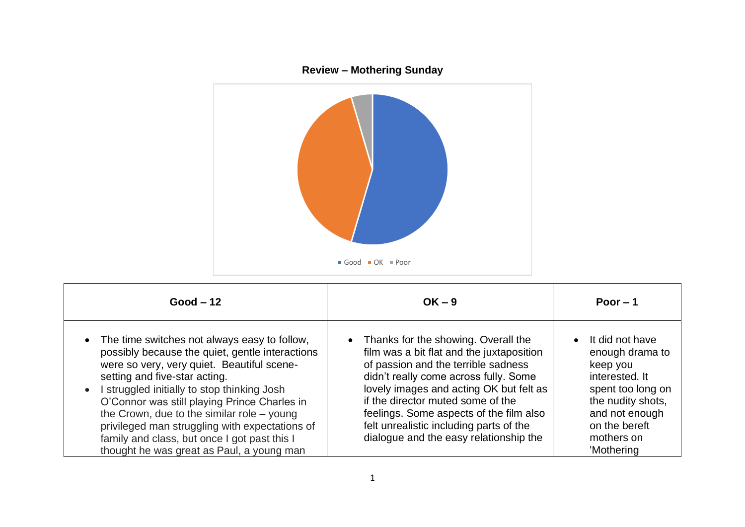

| $Good - 12$                                                                                                                                                                                                                                                                                                                                                                                                                                                                                 | $OK - 9$                                                                                                                                                                                                                                                                                                                                                                           | Poor $-1$                                                                                                                                                                 |
|---------------------------------------------------------------------------------------------------------------------------------------------------------------------------------------------------------------------------------------------------------------------------------------------------------------------------------------------------------------------------------------------------------------------------------------------------------------------------------------------|------------------------------------------------------------------------------------------------------------------------------------------------------------------------------------------------------------------------------------------------------------------------------------------------------------------------------------------------------------------------------------|---------------------------------------------------------------------------------------------------------------------------------------------------------------------------|
| • The time switches not always easy to follow,<br>possibly because the quiet, gentle interactions<br>were so very, very quiet. Beautiful scene-<br>setting and five-star acting.<br>I struggled initially to stop thinking Josh<br>$\bullet$<br>O'Connor was still playing Prince Charles in<br>the Crown, due to the similar role $-$ young<br>privileged man struggling with expectations of<br>family and class, but once I got past this I<br>thought he was great as Paul, a young man | • Thanks for the showing. Overall the<br>film was a bit flat and the juxtaposition<br>of passion and the terrible sadness<br>didn't really come across fully. Some<br>lovely images and acting OK but felt as<br>if the director muted some of the<br>feelings. Some aspects of the film also<br>felt unrealistic including parts of the<br>dialogue and the easy relationship the | It did not have<br>enough drama to<br>keep you<br>interested. It<br>spent too long on<br>the nudity shots,<br>and not enough<br>on the bereft<br>mothers on<br>'Mothering |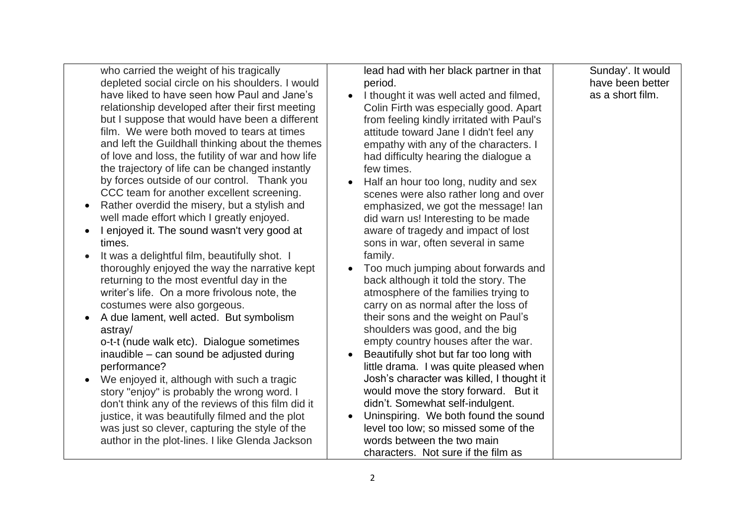| who carried the weight of his tragically<br>depleted social circle on his shoulders. I would<br>have liked to have seen how Paul and Jane's<br>relationship developed after their first meeting<br>but I suppose that would have been a different<br>film. We were both moved to tears at times<br>and left the Guildhall thinking about the themes<br>of love and loss, the futility of war and how life<br>the trajectory of life can be changed instantly<br>by forces outside of our control. Thank you<br>CCC team for another excellent screening.<br>Rather overdid the misery, but a stylish and<br>well made effort which I greatly enjoyed.<br>I enjoyed it. The sound wasn't very good at<br>times.<br>It was a delightful film, beautifully shot. I<br>thoroughly enjoyed the way the narrative kept<br>returning to the most eventful day in the<br>writer's life. On a more frivolous note, the<br>costumes were also gorgeous.<br>A due lament, well acted. But symbolism<br>astray/<br>o-t-t (nude walk etc). Dialogue sometimes<br>inaudible - can sound be adjusted during<br>performance?<br>We enjoyed it, although with such a tragic<br>story "enjoy" is probably the wrong word. I<br>don't think any of the reviews of this film did it<br>justice, it was beautifully filmed and the plot<br>was just so clever, capturing the style of the<br>author in the plot-lines. I like Glenda Jackson | lead had with her black partner in that<br>period.<br>I thought it was well acted and filmed,<br>Colin Firth was especially good. Apart<br>from feeling kindly irritated with Paul's<br>attitude toward Jane I didn't feel any<br>empathy with any of the characters. I<br>had difficulty hearing the dialogue a<br>few times.<br>Half an hour too long, nudity and sex<br>scenes were also rather long and over<br>emphasized, we got the message! Ian<br>did warn us! Interesting to be made<br>aware of tragedy and impact of lost<br>sons in war, often several in same<br>family.<br>Too much jumping about forwards and<br>back although it told the story. The<br>atmosphere of the families trying to<br>carry on as normal after the loss of<br>their sons and the weight on Paul's<br>shoulders was good, and the big<br>empty country houses after the war.<br>Beautifully shot but far too long with<br>little drama. I was quite pleased when<br>Josh's character was killed, I thought it<br>would move the story forward. But it<br>didn't. Somewhat self-indulgent.<br>Uninspiring. We both found the sound<br>level too low; so missed some of the<br>words between the two main<br>characters. Not sure if the film as | Sunday'. It would<br>have been better<br>as a short film. |
|-------------------------------------------------------------------------------------------------------------------------------------------------------------------------------------------------------------------------------------------------------------------------------------------------------------------------------------------------------------------------------------------------------------------------------------------------------------------------------------------------------------------------------------------------------------------------------------------------------------------------------------------------------------------------------------------------------------------------------------------------------------------------------------------------------------------------------------------------------------------------------------------------------------------------------------------------------------------------------------------------------------------------------------------------------------------------------------------------------------------------------------------------------------------------------------------------------------------------------------------------------------------------------------------------------------------------------------------------------------------------------------------------------------------------|------------------------------------------------------------------------------------------------------------------------------------------------------------------------------------------------------------------------------------------------------------------------------------------------------------------------------------------------------------------------------------------------------------------------------------------------------------------------------------------------------------------------------------------------------------------------------------------------------------------------------------------------------------------------------------------------------------------------------------------------------------------------------------------------------------------------------------------------------------------------------------------------------------------------------------------------------------------------------------------------------------------------------------------------------------------------------------------------------------------------------------------------------------------------------------------------------------------------------------------|-----------------------------------------------------------|